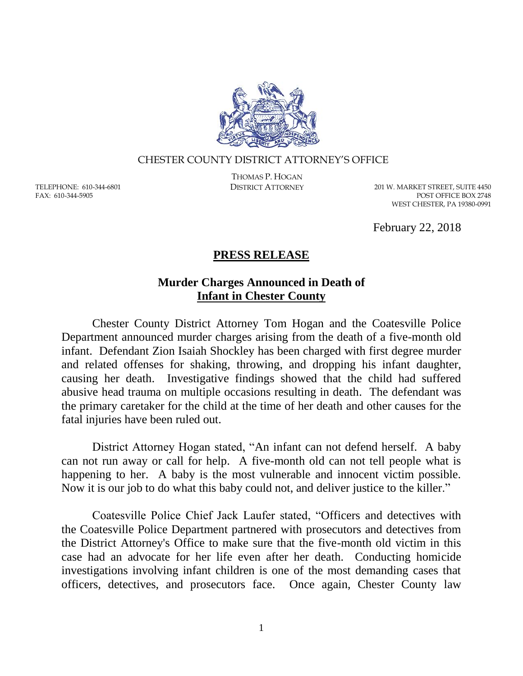

## CHESTER COUNTY DISTRICT ATTORNEY'S OFFICE

TELEPHONE: 610-344-6801 FAX: 610-344-5905

THOMAS P. HOGAN

DISTRICT ATTORNEY 201 W. MARKET STREET, SUITE 4450 POST OFFICE BOX 2748 WEST CHESTER, PA 19380-0991

February 22, 2018

## **PRESS RELEASE**

## **Murder Charges Announced in Death of Infant in Chester County**

Chester County District Attorney Tom Hogan and the Coatesville Police Department announced murder charges arising from the death of a five-month old infant. Defendant Zion Isaiah Shockley has been charged with first degree murder and related offenses for shaking, throwing, and dropping his infant daughter, causing her death. Investigative findings showed that the child had suffered abusive head trauma on multiple occasions resulting in death. The defendant was the primary caretaker for the child at the time of her death and other causes for the fatal injuries have been ruled out.

District Attorney Hogan stated, "An infant can not defend herself. A baby can not run away or call for help. A five-month old can not tell people what is happening to her. A baby is the most vulnerable and innocent victim possible. Now it is our job to do what this baby could not, and deliver justice to the killer."

Coatesville Police Chief Jack Laufer stated, "Officers and detectives with the Coatesville Police Department partnered with prosecutors and detectives from the District Attorney's Office to make sure that the five-month old victim in this case had an advocate for her life even after her death. Conducting homicide investigations involving infant children is one of the most demanding cases that officers, detectives, and prosecutors face. Once again, Chester County law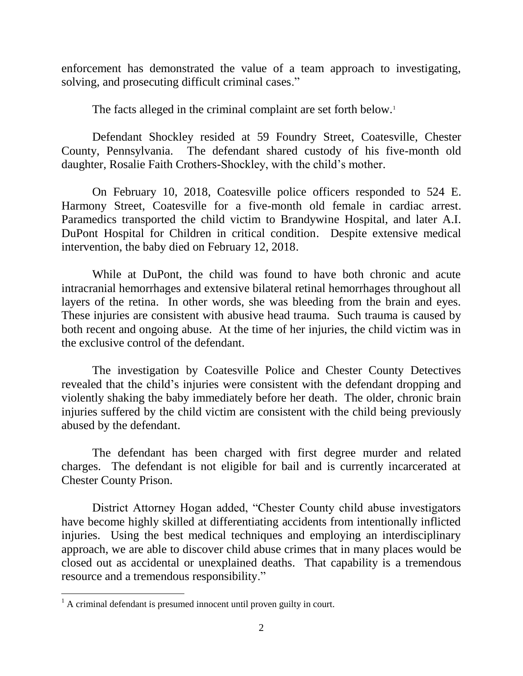enforcement has demonstrated the value of a team approach to investigating, solving, and prosecuting difficult criminal cases."

The facts alleged in the criminal complaint are set forth below.<sup>1</sup>

Defendant Shockley resided at 59 Foundry Street, Coatesville, Chester County, Pennsylvania. The defendant shared custody of his five-month old daughter, Rosalie Faith Crothers-Shockley, with the child's mother.

On February 10, 2018, Coatesville police officers responded to 524 E. Harmony Street, Coatesville for a five-month old female in cardiac arrest. Paramedics transported the child victim to Brandywine Hospital, and later A.I. DuPont Hospital for Children in critical condition. Despite extensive medical intervention, the baby died on February 12, 2018.

While at DuPont, the child was found to have both chronic and acute intracranial hemorrhages and extensive bilateral retinal hemorrhages throughout all layers of the retina. In other words, she was bleeding from the brain and eyes. These injuries are consistent with abusive head trauma. Such trauma is caused by both recent and ongoing abuse. At the time of her injuries, the child victim was in the exclusive control of the defendant.

The investigation by Coatesville Police and Chester County Detectives revealed that the child's injuries were consistent with the defendant dropping and violently shaking the baby immediately before her death. The older, chronic brain injuries suffered by the child victim are consistent with the child being previously abused by the defendant.

The defendant has been charged with first degree murder and related charges. The defendant is not eligible for bail and is currently incarcerated at Chester County Prison.

District Attorney Hogan added, "Chester County child abuse investigators have become highly skilled at differentiating accidents from intentionally inflicted injuries. Using the best medical techniques and employing an interdisciplinary approach, we are able to discover child abuse crimes that in many places would be closed out as accidental or unexplained deaths. That capability is a tremendous resource and a tremendous responsibility."

 $\overline{a}$ 

 $<sup>1</sup>$  A criminal defendant is presumed innocent until proven guilty in court.</sup>